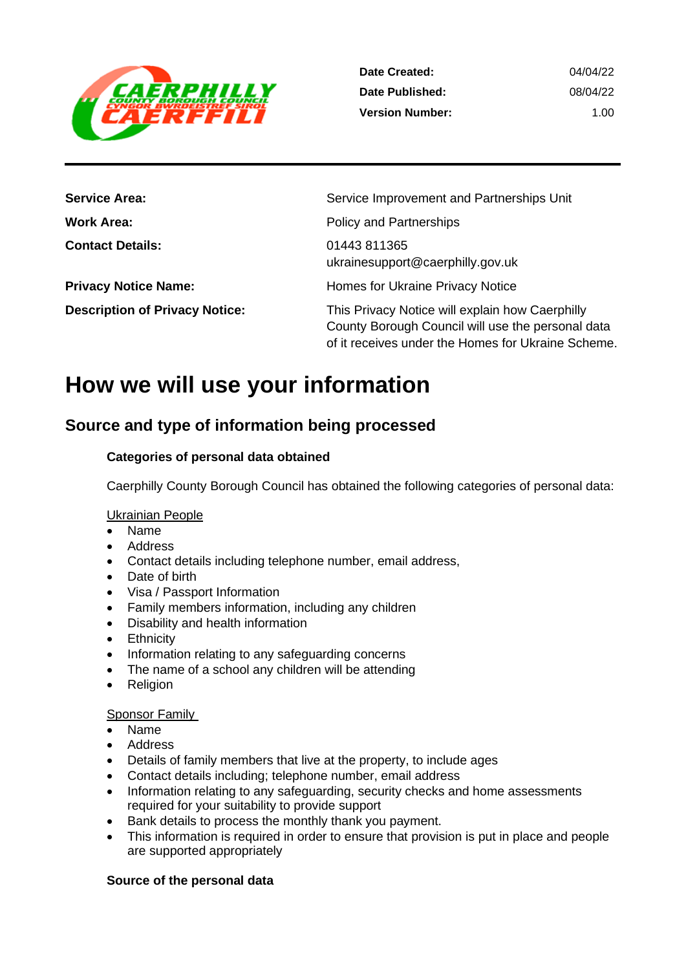

| <b>Service Area:</b>                  | Service Improvement and Partnerships Unit                                                                                                                  |
|---------------------------------------|------------------------------------------------------------------------------------------------------------------------------------------------------------|
| <b>Work Area:</b>                     | <b>Policy and Partnerships</b>                                                                                                                             |
| <b>Contact Details:</b>               | 01443 811365<br>ukrainesupport@caerphilly.gov.uk                                                                                                           |
| <b>Privacy Notice Name:</b>           | Homes for Ukraine Privacy Notice                                                                                                                           |
| <b>Description of Privacy Notice:</b> | This Privacy Notice will explain how Caerphilly<br>County Borough Council will use the personal data<br>of it receives under the Homes for Ukraine Scheme. |

# **How we will use your information**

## **Source and type of information being processed**

#### **Categories of personal data obtained**

Caerphilly County Borough Council has obtained the following categories of personal data:

#### Ukrainian People

- Name
- Address
- Contact details including telephone number, email address,
- Date of birth
- Visa / Passport Information
- Family members information, including any children
- Disability and health information
- Ethnicity
- Information relating to any safeguarding concerns
- The name of a school any children will be attending
- Religion

#### Sponsor Family

- Name
- Address
- Details of family members that live at the property, to include ages
- Contact details including; telephone number, email address
- Information relating to any safeguarding, security checks and home assessments required for your suitability to provide support
- Bank details to process the monthly thank you payment.
- This information is required in order to ensure that provision is put in place and people are supported appropriately

#### **Source of the personal data**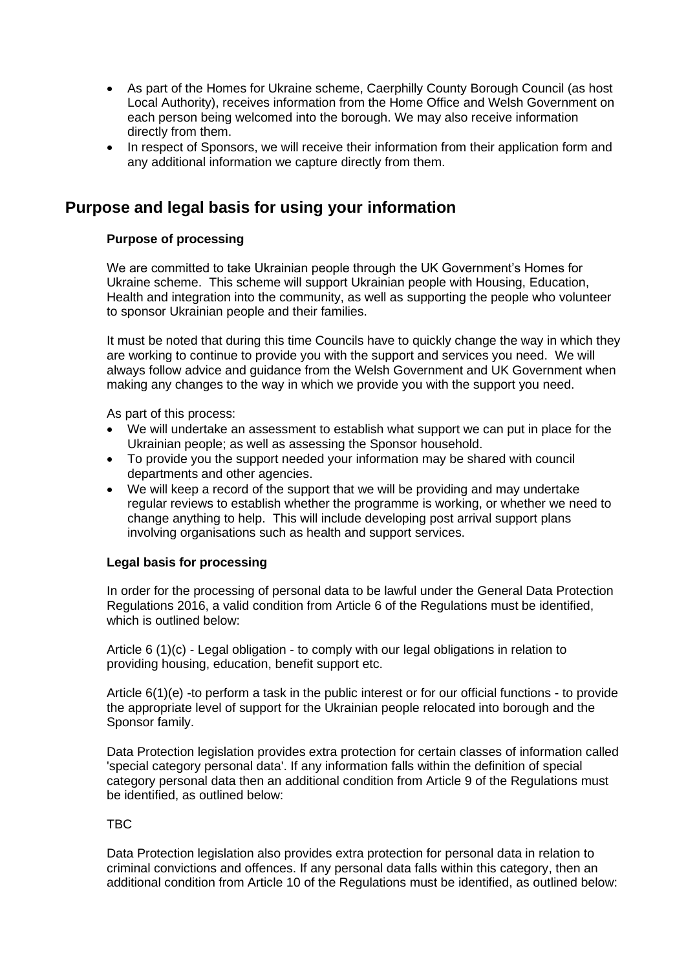- As part of the Homes for Ukraine scheme, Caerphilly County Borough Council (as host Local Authority), receives information from the Home Office and Welsh Government on each person being welcomed into the borough. We may also receive information directly from them.
- In respect of Sponsors, we will receive their information from their application form and any additional information we capture directly from them.

## **Purpose and legal basis for using your information**

#### **Purpose of processing**

We are committed to take Ukrainian people through the UK Government's Homes for Ukraine scheme. This scheme will support Ukrainian people with Housing, Education, Health and integration into the community, as well as supporting the people who volunteer to sponsor Ukrainian people and their families.

It must be noted that during this time Councils have to quickly change the way in which they are working to continue to provide you with the support and services you need. We will always follow advice and guidance from the Welsh Government and UK Government when making any changes to the way in which we provide you with the support you need.

As part of this process:

- We will undertake an assessment to establish what support we can put in place for the Ukrainian people; as well as assessing the Sponsor household.
- To provide you the support needed your information may be shared with council departments and other agencies.
- We will keep a record of the support that we will be providing and may undertake regular reviews to establish whether the programme is working, or whether we need to change anything to help. This will include developing post arrival support plans involving organisations such as health and support services.

#### **Legal basis for processing**

In order for the processing of personal data to be lawful under the General Data Protection Regulations 2016, a valid condition from Article 6 of the Regulations must be identified, which is outlined below:

Article 6 (1)(c) - Legal obligation - to comply with our legal obligations in relation to providing housing, education, benefit support etc.

Article 6(1)(e) -to perform a task in the public interest or for our official functions - to provide the appropriate level of support for the Ukrainian people relocated into borough and the Sponsor family.

Data Protection legislation provides extra protection for certain classes of information called 'special category personal data'. If any information falls within the definition of special category personal data then an additional condition from Article 9 of the Regulations must be identified, as outlined below:

#### TBC

Data Protection legislation also provides extra protection for personal data in relation to criminal convictions and offences. If any personal data falls within this category, then an additional condition from Article 10 of the Regulations must be identified, as outlined below: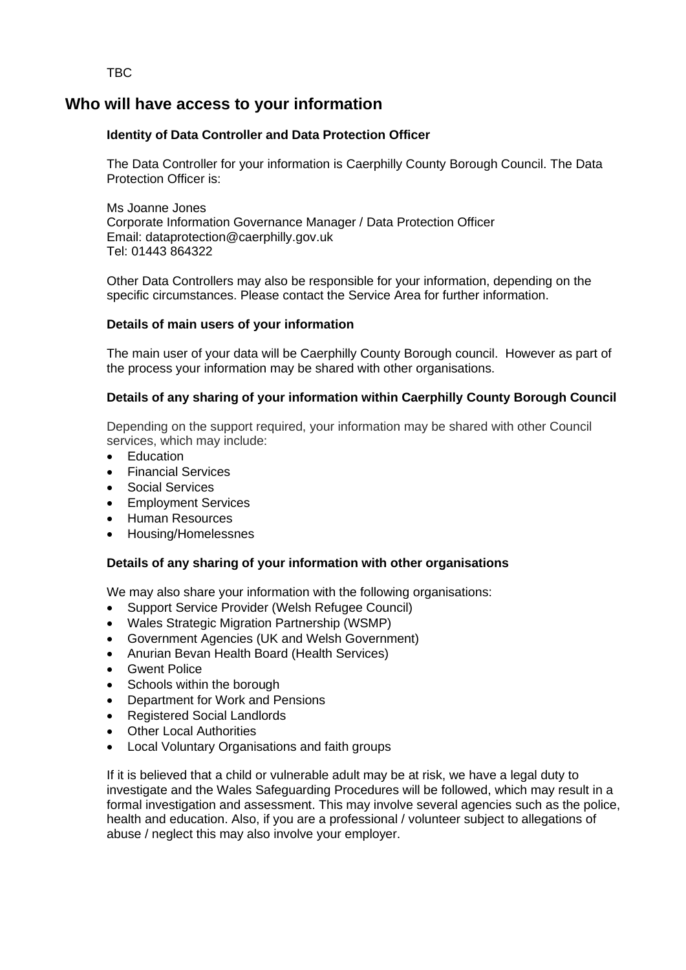TBC

## **Who will have access to your information**

#### **Identity of Data Controller and Data Protection Officer**

The Data Controller for your information is Caerphilly County Borough Council. The Data Protection Officer is:

Ms Joanne Jones Corporate Information Governance Manager / Data Protection Officer Email: dataprotection@caerphilly.gov.uk Tel: 01443 864322

Other Data Controllers may also be responsible for your information, depending on the specific circumstances. Please contact the Service Area for further information.

#### **Details of main users of your information**

The main user of your data will be Caerphilly County Borough council. However as part of the process your information may be shared with other organisations.

#### **Details of any sharing of your information within Caerphilly County Borough Council**

Depending on the support required, your information may be shared with other Council services, which may include:

- Education
- Financial Services
- Social Services
- Employment Services
- Human Resources
- Housing/Homelessnes

#### **Details of any sharing of your information with other organisations**

We may also share your information with the following organisations:

- Support Service Provider (Welsh Refugee Council)
- Wales Strategic Migration Partnership (WSMP)
- Government Agencies (UK and Welsh Government)
- Anurian Bevan Health Board (Health Services)
- **Gwent Police**
- Schools within the borough
- Department for Work and Pensions
- Registered Social Landlords
- **Other Local Authorities**
- Local Voluntary Organisations and faith groups

If it is believed that a child or vulnerable adult may be at risk, we have a legal duty to investigate and the Wales Safeguarding Procedures will be followed, which may result in a formal investigation and assessment. This may involve several agencies such as the police, health and education. Also, if you are a professional / volunteer subject to allegations of abuse / neglect this may also involve your employer.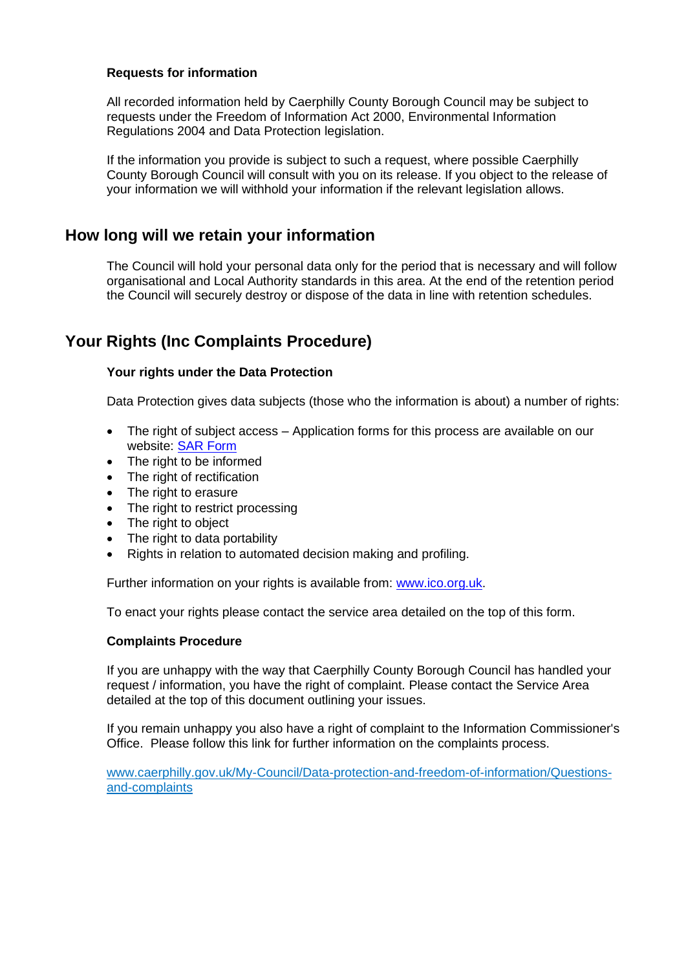#### **Requests for information**

All recorded information held by Caerphilly County Borough Council may be subject to requests under the Freedom of Information Act 2000, Environmental Information Regulations 2004 and Data Protection legislation.

If the information you provide is subject to such a request, where possible Caerphilly County Borough Council will consult with you on its release. If you object to the release of your information we will withhold your information if the relevant legislation allows.

### **How long will we retain your information**

The Council will hold your personal data only for the period that is necessary and will follow organisational and Local Authority standards in this area. At the end of the retention period the Council will securely destroy or dispose of the data in line with retention schedules.

## **Your Rights (Inc Complaints Procedure)**

#### **Your rights under the Data Protection**

Data Protection gives data subjects (those who the information is about) a number of rights:

- The right of subject access Application forms for this process are available on our website: [SAR Form](http://www.caerphilly.gov.uk/CaerphillyDocs/Council-and-democracy/sar_form.aspx)
- The right to be informed
- The right of rectification
- The right to erasure
- The right to restrict processing
- The right to object
- The right to data portability
- Rights in relation to automated decision making and profiling.

Further information on your rights is available from: [www.ico.org.uk.](http://www.ico.org.uk/)

To enact your rights please contact the service area detailed on the top of this form.

#### **Complaints Procedure**

If you are unhappy with the way that Caerphilly County Borough Council has handled your request / information, you have the right of complaint. Please contact the Service Area detailed at the top of this document outlining your issues.

If you remain unhappy you also have a right of complaint to the Information Commissioner's Office. Please follow this link for further information on the complaints process.

[www.caerphilly.gov.uk/My-Council/Data-protection-and-freedom-of-information/Questions](http://www.caerphilly.gov.uk/My-Council/Data-protection-and-freedom-of-information/Questions-and-complaints)[and-complaints](http://www.caerphilly.gov.uk/My-Council/Data-protection-and-freedom-of-information/Questions-and-complaints)